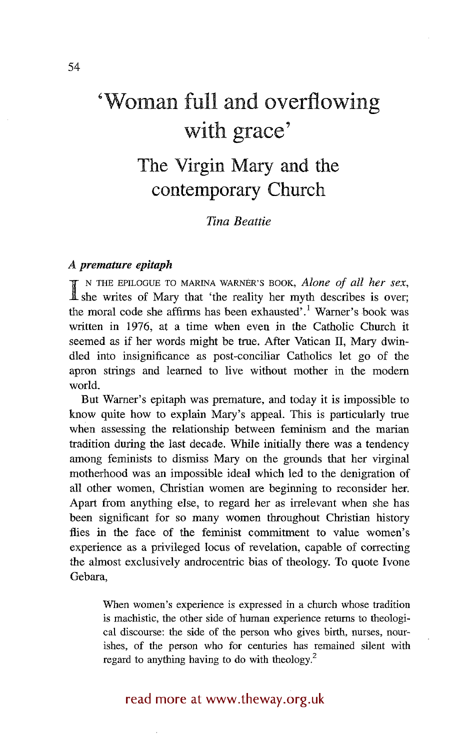# **'Woman full and overflowing with grace'**

## **The Virgin Mary and the contemporary Church**

#### *Tina Beattie*

#### *A premature epitaph*

**I** N THE EPILOGUE TO MARINA WARNER'S BOOK, *Alone of all her sex*, <br> **A** she writes of Mary that 'the reality her myth describes is over; the moral code she affirms has been exhausted'.<sup>1</sup> Warner's book was written in 1976, at a time when even in the Catholic Church it seemed as if her words might be true. After Vatican II, Mary dwindled into insignificance as post-conciliar Catholics let go of the apron strings and learned to live without mother in the modern world.

But Warner's epitaph was premature, and today it is impossible to know quite how to explain Mary's appeal. This is particularly true when assessing the relationship between feminism and the marian tradition during the last decade. While initially there was a tendency among feminists to dismiss Mary on the grounds that her virginal motherhood was an impossible ideal which led to the denigration of all other women, Christian women are beginning to reconsider her. Apart from anything else, to regard her as irrelevant when she has been significant for so many women throughout Christian history flies in the face of the feminist commitment to value women's experience as a privileged locus of revelation, capable of correcting the almost exclusively androcentric bias of theology. To quote Ivone Gebara,

When women's experience is expressed in a church whose tradition is machistic, the other side of human experience returns to theological discourse: the side of the person who gives birth, nurses, nourishes, of the person who for centuries has remained silent with regard to anything having to do with theology.<sup>2</sup>

### read more at www.theway.org.uk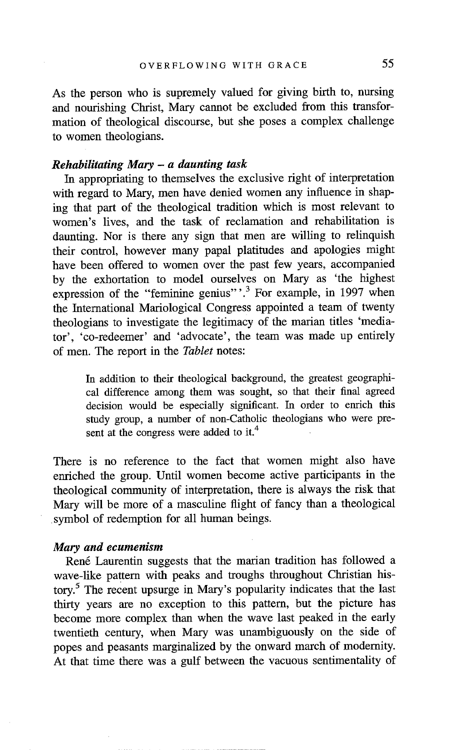As the person who is supremely valued for giving birth to, nursing and nourishing Christ, Mary cannot be excluded from this transformation of theological discourse, but she poses a complex challenge to women theologians.

#### *Rehabilitating Mary - a daunting task*

In appropriating to themselves the exclusive right of interpretation with regard to Mary, men have denied women any influence in shaping that part of the theological tradition which is most relevant to women's lives, and the task of reclamation and rehabilitation is daunting. Nor is there any sign that men are willing to relinquish their control, however many papal platitudes and apologies might have been offered to women over the past few years, accompanied by the exhortation to model ourselves on Mary as 'the highest expression of the "feminine genius" $^{3}$ . For example, in 1997 when the International Mariological Congress appointed a team of twenty theologians to investigate the legitimacy of the marian titles 'mediator', 'co-redeemer' and 'advocate', the team was made up entirely of men. The report in the *Tablet* notes:

In addition to their theological background, the greatest geographical difference among them was sought, so that their final agreed decision would be especially significant. In order to enrich this study group, a number of non-Catholic theologians who were present at the congress were added to it.<sup>4</sup>

There is no reference to the fact that women might also have enriched the group. Until women become active participants in the theological community of interpretation, there is always the risk that Mary will be more of a masculine flight of fancy than a theological symbol of redemption for all human beings.

#### *Mary and ecumenism*

Ren6 Laurentin suggests that the marian tradition has followed a wave-like pattern with peaks and troughs throughout Christian history.<sup>5</sup> The recent upsurge in Mary's popularity indicates that the last thirty years are no exception to this pattern, but the picture has become more complex than when the wave last peaked in the early twentieth century, when Mary was unambiguously on the side of popes and peasants marginalized by the onward march of modernity. At that time there was a gulf between the vacuous sentimentality of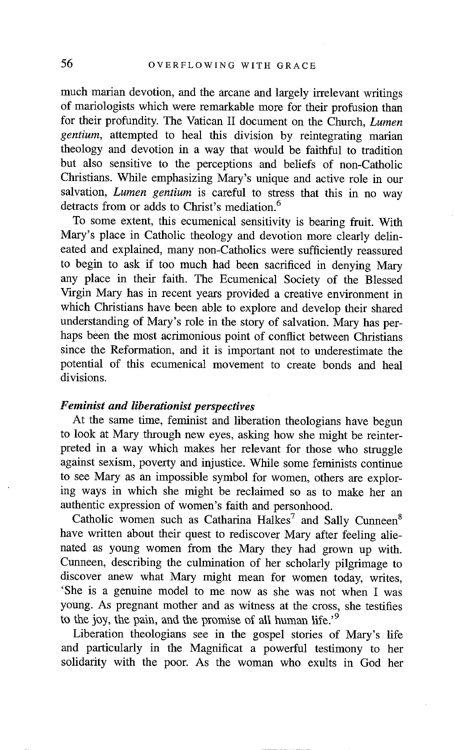much marian devotion, and the arcane and largely irrelevant writings of mariologists which were remarkable more for their profusion than for their profundity. The Vatican II document on the Church, *Lumen gentium,* attempted to heal this division by reintegrating marian theology and devotion in a way that would be faithful to tradition but also sensitive to the perceptions and beliefs of non-Catholic Christians. While emphasizing Mary's unique and active role in our salvation, *Lumen gentium* is careful to stress that this in no way detracts from or adds to Christ's mediation.<sup>6</sup>

To some extent, this ecumenical sensitivity is bearing fruit. With Mary's place in Catholic theology and devotion more clearly delineated and explained, many non-Catholics were sufficiently reassured to begin to ask if too much had been sacrificed in denying Mary any place in their faith. The Ecumenical Society of the Blessed Virgin Mary has in recent years provided a creative environment in which Christians have been able to explore and develop their shared understanding of Mary's role in the story of salvation. Mary has perhaps been the most acrimonious point of conflict between Christians since the Reformation, and it is important not to underestimate the potential of this ecumenical movement to create bonds and heal divisions.

#### *Feminist and liberationist perspectives*

At the same time, feminist and liberation theologians have begun to look at Mary through new eyes, asking how she might be reinterpreted in a way which makes her relevant for those who struggle against sexism, poverty and injustice. While some feminists continue to see Mary as an impossible symbol for women, others are exploring ways in which she might be reclaimed so as to make her an authentic expression of women's faith and personhood.

Catholic women such as Catharina Halkes<sup>7</sup> and Sally Cunneen<sup>8</sup> have written about their quest to rediscover Mary after feeling alienated as young women from the Mary they had grown up with. Cunneen, describing the culmination of her scholarly pilgrimage to discover anew what Mary might mean for women today, writes, 'She is a genuine model to me now as she was not when I was young. As pregnant mother and as witness at the cross, she testifies to the joy, the pain, and the promise of all human life.<sup> $9$ </sup>

Liberation theologians see in the gospel stories of Mary's life and particularly in the Magnificat a powerful testimony to her solidarity with the poor. As the woman who exults in God her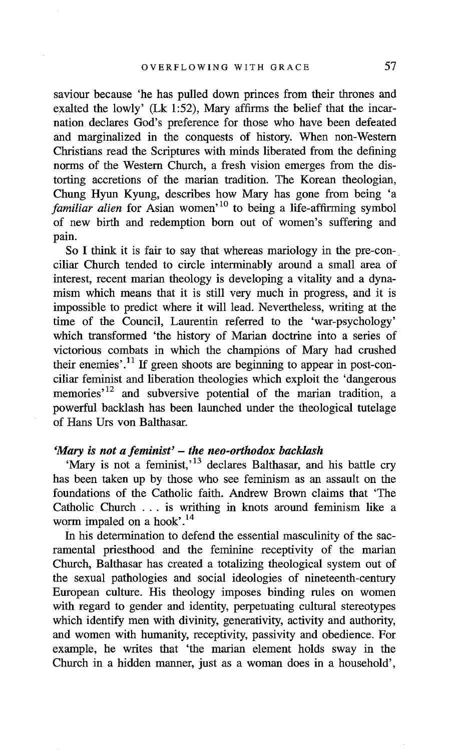saviour because 'he has pulled down princes from their thrones and exalted the lowly' (Lk 1:52), Mary affirms the belief that the incarnation declares God's preference for those who have been defeated and marginalized in the conquests of history. When non-Western Christians read the Scriptures with minds liberated from the defining norms of the Western Church, a fresh vision emerges from the distotting accretions of the marian tradition. The Korean theologian, Chung Hyun Kyung, describes how Mary has gone from being 'a *familiar alien* for Asian women<sup>, 10</sup> to being a life-affirming symbol of new birth and redemption born out of women's suffering and pain.

So I think it is fair to say that whereas mariology in the pre-conciliar Church tended to circle interminably around a small area of interest, recent marian theology is developing a vitality and a dynamism which means that it is still very much in progress, and it is impossible to predict where it will lead. Nevertheless, writing at the time of the Council, Lanrentin referred to the 'war-psychology' which transformed 'the history of Marian doctrine into a series of victorious combats in which the champions of Mary had crushed their enemies'.<sup>11</sup> If green shoots are beginning to appear in post-conciliar feminist and liberation theologies which exploit the 'dangerous memories<sup>12</sup> and subversive potential of the marian tradition, a powerful backlash has been launched under the theological tutelage of Hans Urs von Balthasar.

#### *"Mary is not a feminist' - the neo-orthodox backlash*

'Mary is not a feminist, <sup>13</sup> declares Balthasar, and his battle cry has been taken up by those who see feminism as an assault on the foundations of the Catholic faith. Andrew Brown claims that 'The Catholic Church ... is writhing in knots around feminism like a worm impaled on a hook'. $14$ 

In his determination to defend the essential masculinity of the sacramental priesthood and the feminine receptivity of the marian Church, Balthasar has created a totalizing theological system out of the sexual pathologies and social ideologies of nineteenth-century European culture. His theology imposes binding rules on women with regard to gender and identity, perpetuating cultural stereotypes which identify men with divinity, generativity, activity and authority, and women with humanity, receptivity, passivity and obedience. For example, he writes that 'the marian element holds sway in the Church in a hidden manner, just as a woman does in a household',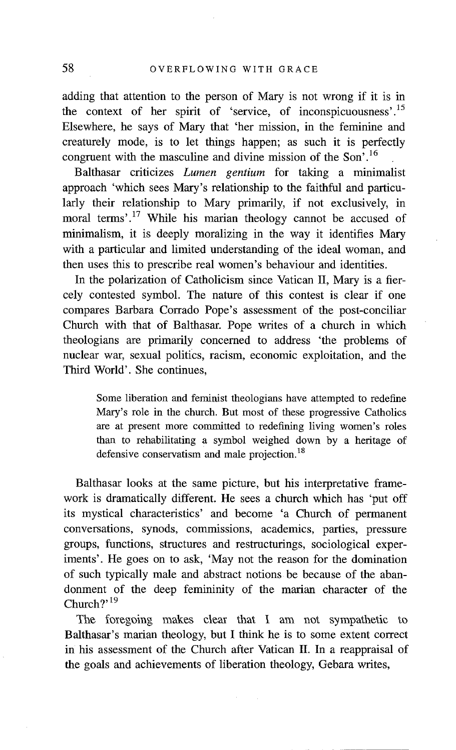adding that attention to the person of Mary is not wrong if it is in the context of her spirit of 'service, of inconspicuousness'.<sup>15</sup> Elsewhere, he says of Mary that 'her mission, in the feminine and creaturely mode, is to let things happen; as such it is perfectly congruent with the masculine and divine mission of the Son<sup> $,16$ </sup>

Balthasar criticizes *Lumen gentium* for taking a minimalist approach 'which sees Mary's relationship to the faithful and particularly their relationship to Mary primarily, if not exclusively, in moral terms'.<sup>17</sup> While his marian theology cannot be accused of minimalism, it is deeply moralizing in the way it identifies Mary with a particular and limited understanding of the ideal woman, and then uses this to prescribe real women's behaviour and identities.

In the polarization of Catholicism since Vatican II, Mary is a fiercely contested symbol. The nature of this contest is clear if one compares Barbara Corrado Pope's assessment of the post-conciliar Church with that of Balthasar. Pope writes of a church in which theologians are primarily concerned to address 'the problems of nuclear war, sexual politics, racism, economic exploitation, and the Third World'. She continues,

Some liberation and feminist theologians have attempted to redefine Mary's role in the church. But most of these progressive Catholics are at present more committed to redefining living women's roles than to rehabilitating a symbol weighed down by a heritage of defensive conservatism and male projection.<sup>18</sup>

Balthasar looks at the same picture, but his interpretative framework is dramatically different. He sees a church which has 'put off its mystical characteristics' and become 'a Church of permanent conversations, synods, commissions, academics, parties, pressure groups, functions, structures and restructurings, sociological experiments'. He goes on to ask, 'May not the reason for the domination of such typically male and abstract notions be because of the abandonment of the deep femininity of the marian character of the Church?'<sup>19</sup>

The foregoing makes clear that I am not sympathetic to Balthasar's marian theology, but I think he is to some extent correct in his assessment of the Church after Vatican II. In a reappraisal of the goals and achievements of liberation theology, Gebara writes,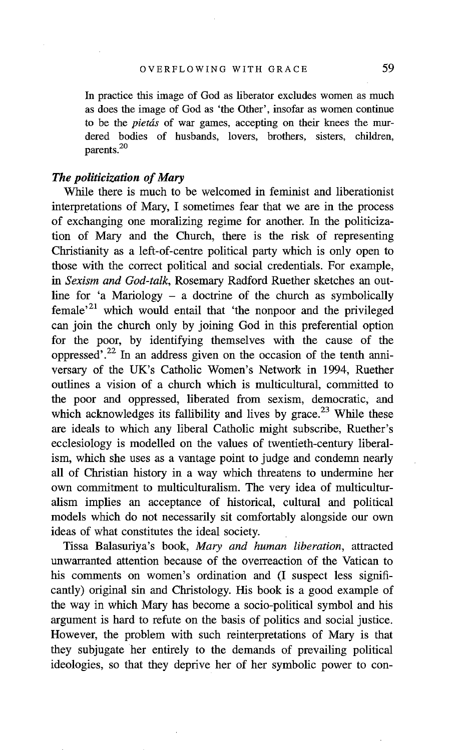In practice this image of God as liberator excludes women as much as does the image of God as 'the Other', insofar as women continue to be the *pietds* of war games, accepting on their knees the murdered bodies of husbands, lovers, brothers, sisters, children, parents.<sup>20</sup>

#### *The politicization of Mary*

While there is much to be welcomed in feminist and liberationist interpretations of Mary, I sometimes fear that we are in the process of exchanging one moralizing regime for another. In the politicization of Mary and the Church, there is the risk of representing Christianity as a left-of-centre political party which is only open to those with the correct political and social credentials. For example, *in Sexism and God-talk,* Rosemary Radford Ruether sketches an outline for 'a Mariology – a doctrine of the church as symbolically female<sup> $21$ </sup> which would entail that 'the nonpoor and the privileged can join the church only by joining God in this preferential option for the poor, by identifying themselves with the cause of the oppressed'.<sup>22</sup> In an address given on the occasion of the tenth anniversary of the UK's Catholic Women's Network in 1994, Ruether outlines a vision of a church which is multicultural, committed to the poor and oppressed, liberated from sexism, democratic, and which acknowledges its fallibility and lives by grace.<sup>23</sup> While these are ideals to which any liberal Catholic might subscribe, Ruether's ecclesiology is modelled on the values of twentieth-century liberalism, which she uses as a vantage point to judge and condemn nearly all of Christian history in a way which threatens to undermine her own commitment to multiculturalism. The very idea of multiculturalism implies an acceptance of historical, cultural and political models which do not necessarily sit comfortably alongside our own ideas of what constitutes the ideal society.

Tissa Balasuriya's book, *Mary and human liberation,* attracted unwarranted attention because of the overreaction of the Vatican to his comments on women's ordination and (I suspect less significantly) original sin and Christology. His book is a good example of the way in which Mary has become a socio-political symbol and his argument is hard to refute on the basis of politics and social justice. However, the problem with such reinterpretations of Mary is that they subjugate her entirely to the demands of prevailing political ideologies, so that they deprive her of her symbolic power to con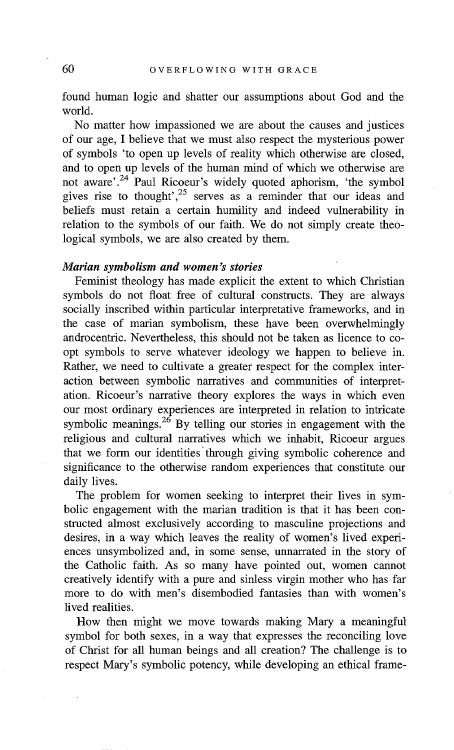found human logic and shatter our assumptions about God and the world.

No matter how impassioned we are about the causes and justices of our age, I believe that we must also respect the mysterious power of symbols 'to open up levels of reality which otherwise are closed, and to open up levels of the human mind of which we otherwise are not aware', <sup>24</sup> Paul Ricoeur's widely quoted aphorism, 'the symbol gives rise to thought',  $25$  serves as a reminder that our ideas and beliefs must retain a certain humility and indeed vulnerability in relation to the symbols of our faith. We do not simply create theological symbols, we are also created by them.

#### *Marian symbolism and women's stories*

Feminist theology has made explicit the extent to which Christian symbols do not float free of cultural constructs. They are always socially inscribed within particular interpretative frameworks, and in the case of marian symbolism, these have been overwhelmingly androcentric. Nevertheless, this should not be taken as licence to coopt symbols to serve whatever ideology we happen to believe in. Rather, we need to cultivate a greater respect for the complex interaction between symbolic narratives and communities of interpretation. Ricoeur's narrative theory explores the ways in which even our most ordinary experiences are interpreted in relation to intricate symbolic meanings.<sup>26</sup> By telling our stories in engagement with the religious and cultural narratives which we inhabit, Ricoeur argues that we form our identities through giving symbolic coherence and significance to the otherwise random experiences that constitute our daily lives.

The problem for women seeking to interpret their lives in symbolic engagement with the marian tradition is that it has been constructed almost exclusively according to masculine projections and desires, in a way which leaves the reality of women's lived experiences unsymbolized and, in some sense, unnarrated in the story of the Catholic faith. As so many have pointed out, women cannot creatively identify with a pure and sinless virgin mother who has far more to do with men's disembodied fantasies than with women's lived realities.

How then might we move towards making Mary a meaningful symbol for both sexes, in a way that expresses the reconciling love of Christ for all human beings and all creation? The challenge is to respect Mary's symbolic potency, while developing an ethical frame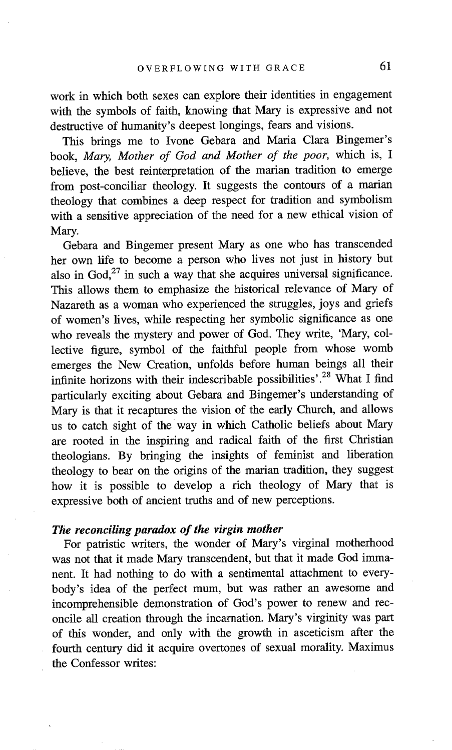work in which both sexes can explore their identities in engagement with the symbols of faith, knowing that Mary is expressive and not destructive of humanity's deepest longings, fears and visions.

This brings me to Ivone Gebara and Maria Clara Bingemer's book, *Mary, Mother of God and Mother of the poor,* which is, I believe, the best reinterpretation of the marian tradition to emerge from post-conciliar theology. It suggests the contours of a marian theology that combines a deep respect for tradition and symbolism with a sensitive appreciation of the need for a new ethical vision of Mary.

Gebara and Bingemer present Mary as one who has transcended her own life to become a person who lives not just in history but also in  $God<sub>,27</sub>$  in such a way that she acquires universal significance. This allows them to emphasize the historical relevance of Mary of Nazareth as a woman who experienced the struggles, joys and griefs of women's lives, while respecting her symbolic significance as one who reveals the mystery and power of God. They write, 'Mary, collective figure, symbol of the faithful people from whose womb emerges the New Creation, unfolds before human beings all their infinite horizons with their indescribable possibilities'.<sup>28</sup> What I find particularly exciting about Gebara and Bingemer's understanding of Mary is that it recaptures the vision of the early Church, and allows us to catch sight of the way in which Catholic beliefs about Mary are rooted in the inspiring and radical faith of the first Christian theologians. By bringing the insights of feminist and liberation theology to bear on the origins of the marian tradition, they suggest how it is possible to develop a rich theology of Mary that is expressive both of ancient truths and of new perceptions.

#### *The reconciling paradox of the virgin mother*

For patristic writers, the wonder of Mary's virginal motherhood was not that it made Mary transcendent, but that it made God immanent. It had nothing to do with a sentimental attachment to everybody's idea of the perfect mum, but was rather an awesome and incomprehensible demonstration of God's power to renew and reconcile all creation through the incarnation. Mary's virginity was part of this wonder, and only with the growth in asceticism after the fourth century did it acquire overtones of sexual morality. Maximus the Confessor writes: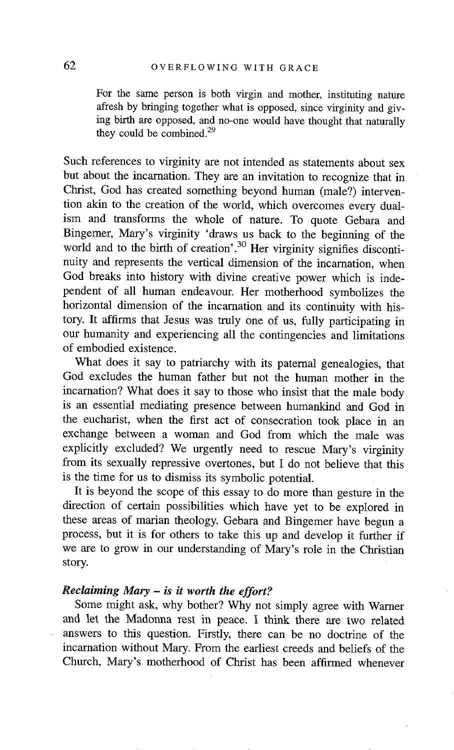For the same person is both virgin and mother, instituting nature afresh by bringing together what is opposed, since virginity and giving birth are opposed, and no-one would have thought that naturally they could be combined. $29$ 

Such references to virginity are not intended as statements about sex but about the incarnation. They are an invitation to recognize that in Christ, God has created something beyond human (male?) intervention akin to the creation of the world, which overcomes every dualism and transforms the whole of nature. To quote Gebara and Bingemer, Mary's virginity 'draws us back to the beginning of the world and to the birth of creation'.<sup>30</sup> Her virginity signifies discontinuity and represents the vertical dimension of the incarnation, when God breaks into history with divine creative power which is independent of all human endeavour. Her motherhood symbolizes the horizontal dimension of the incarnation and its continuity with history. It affirms that Jesus was truly one of us, fully participating in our humanity and experiencing all the contingencies and limitations of embodied existence.

What does it say to patriarchy with its paternal genealogies, that God excludes the human father but not the human mother in the incarnation? What does it say to those who insist that the male body is an essential mediating presence between humankind and God in the eucharist, when the first act of consecration took place in an exchange between a woman and God from which the male was explicitly excluded? We urgently need to rescue Mary's virginity from its sexually repressive overtones, but I do not believe that this is the time for us to dismiss its symbolic potential.

It is beyond the scope of this essay to do more than gesture in the direction of certain possibilities which have yet to be explored in these areas of marian theology. Gebara and Bingemer have begun a process, but it is for others to take this up and develop it further if we are to grow in our understanding of Mary's role in the Christian story.

#### *Reclaiming Mary - is it worth the effort?*

Some might ask, why bother? Why not simply agree with Warner and let the Madonna rest in peace. I think there are two related answers to this question. Firstly, there can be no doctrine of the incarnation without Mary. From the earliest creeds mad beliefs of the Church, Mary's motherhood of Christ has been affirmed whenever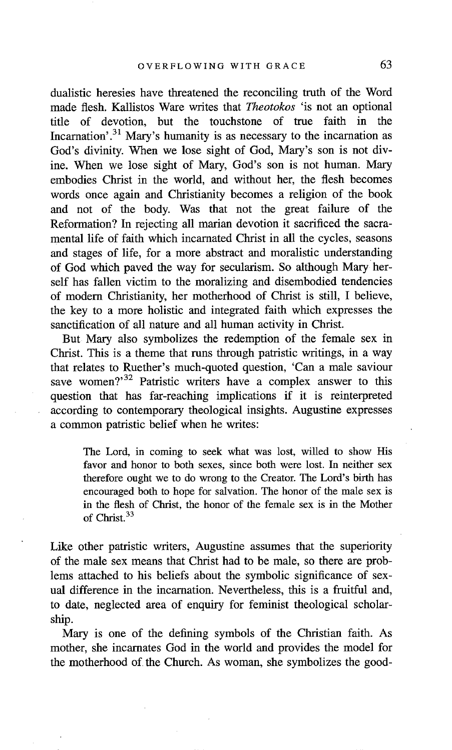dualistic heresies have threatened the reconciling truth of the Word made flesh. Kallistos Ware writes that *Theotokos* 'is not an optional title of devotion, but the touchstone of true faith in the Incarnation'.<sup>31</sup> Mary's humanity is as necessary to the incarnation as God's divinity. When we lose sight of God, Mary's son is not divine. When we lose sight of Mary, God's son is not human. Mary embodies Christ in the world, and without her, the flesh becomes words once again and Christianity becomes a refigion of the book and not of the body. Was that not the great failure of the Reformation? In rejecting all marian devotion it sacrificed the sacramental life of faith which incarnated Christ in all the cycles, seasons and stages of life, for a more abstract and moralistic understanding of God which paved the way for secularism. So although Mary herself has fallen victim to the moralizing and disembodied tendencies of modem Christianity, her motherhood of Christ is still, I believe, the key to a more holistic and integrated faith which expresses the sanctification of all nature and all human activity in Christ.

But Mary also symbolizes the redemption of the female sex in Christ. This is a theme that runs through patristic writings, in a way that relates to Ruether's much-quoted question, 'Can a male saviour save women?<sup>32</sup> Patristic writers have a complex answer to this question that has far-reaching implications if it is reinterpreted according to contemporary theological insights. Augustine expresses a common patristic belief when he writes:

The Lord, in coming to seek what was lost, willed to show His favor and honor to both sexes, since both were lost. In neither sex therefore ought we to do wrong to the Creator. The Lord's birth has encouraged both to hope for salvation. The honor of the male sex is in the flesh of Christ, the honor of the female sex is in the Mother of Christ. 33

Like other patristic writers, Augustine assumes that the superiority of the male sex means that Christ had to be male, so there are problems attached to his beliefs about the symbolic significance of sexual difference in the incarnation. Nevertheless, this is a fruitful and, to date, neglected area of enquiry for feminist theological scholarship.

Mary is one of the defining symbols of the Christian faith. As mother, she incarnates God in the world and provides the model for the motherhood of the Church. As woman, she symbolizes the good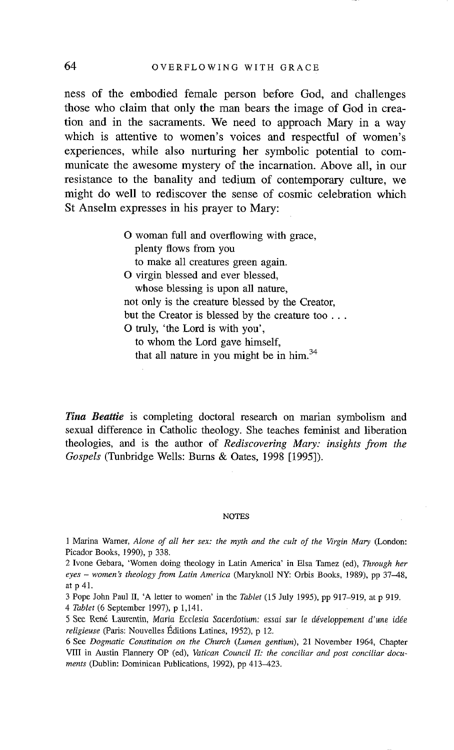ness of the embodied female person before God, and challenges those who claim that only the man bears the image of God in creation and in the sacraments. We need to approach Mary in a way which is attentive to women's voices and respectful of women's experiences, while also nurturing her symbolic potential to communicate the awesome mystery of the incarnation. Above all, in our resistance to the banality and tedium of contemporary culture, we might do well to rediscover the sense of cosmic celebration which St Anselm expresses in his prayer to Mary:

> O woman full and overflowing with grace, plenty flows from you to make all creatures green again. O virgin blessed and ever blessed, whose blessing is upon all nature, not only is the creature blessed by the Creator, but the Creator is blessed by the creature too... O truly, 'the Lord is with you', to whom the Lord gave himself, that all nature in you might be in him.<sup>34</sup>

*Tina Beattie* is completing doctoral research on marian symbolism and sexual difference in Catholic theology. She teaches feminist and liberation theologies, and is the author of *Rediscovering Mary: insights from the Gospels* (Tunbridge Wells: Burns & Oates, 1998 [1995]).

#### **NOTES**

1 Marina Warner, *Alone of all her sex: the myth and the cult of the Virgin Mary* (London: Picador Books, 1990), p 338.

2 Ivone Gebara, 'Women doing theology in Latin America' in Elsa Tamez (ed), *Through her eyes - women's theology from Latin America* (Maryknoll NY: Orbis Books, 1989), pp 37-48, at p 41.

3 Pope John Paul II, 'A letter to women' in the *Tablet* (15 July 1995), pp 917-919, at p 919. *4 Tablet* (6 September 1997), p 1,141.

5 See Ren6 Laureatin, *Maria Ecctesia Sacerdotium: essai sur te ddveloppement d'une idde religieuse* (Paris: Nouvelles Éditions Latines, 1952), p 12.

6 See *Dogmatic Constitution on the Church (Lumen gentium),* 21 November 1964, Chapter VIII in Austin Flannery OP (ed), *Vatican Council II: the conciliar and post conciliar documents* (Dublin: Dominican Publications, 1992), pp 413-423.